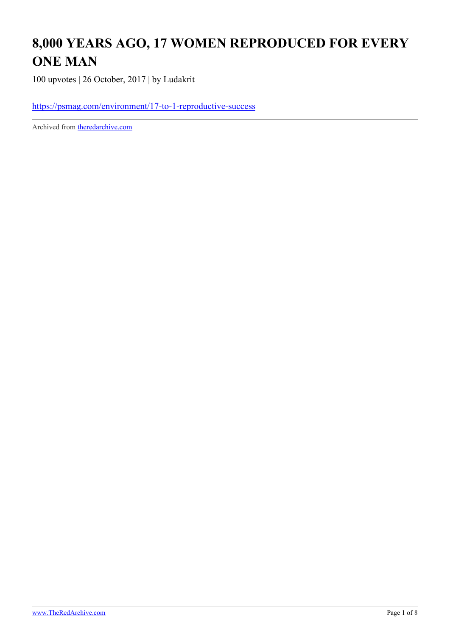## **8,000 YEARS AGO, 17 WOMEN REPRODUCED FOR EVERY ONE MAN**

100 upvotes | 26 October, 2017 | by Ludakrit

<https://psmag.com/environment/17-to-1-reproductive-success>

Archived from [theredarchive.com](https://theredarchive.com/r/MGTOW/8000-years-ago-17-women-reproduced-for-every-one.543424)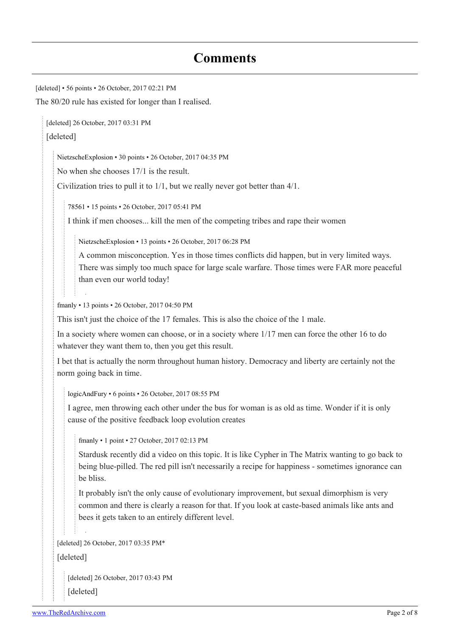## **Comments**

[deleted] • 56 points • 26 October, 2017 02:21 PM The 80/20 rule has existed for longer than I realised. [deleted] 26 October, 2017 03:31 PM [deleted] [NietzscheExplosion](https://old.reddit.com/user/NietzscheExplosion) • 30 points • 26 October, 2017 04:35 PM No when she chooses 17/1 is the result. Civilization tries to pull it to 1/1, but we really never got better than 4/1. [78561](https://old.reddit.com/user/78561) • 15 points • 26 October, 2017 05:41 PM I think if men chooses... kill the men of the competing tribes and rape their women [NietzscheExplosion](https://old.reddit.com/user/NietzscheExplosion) • 13 points • 26 October, 2017 06:28 PM A common misconception. Yes in those times conflicts did happen, but in very limited ways. There was simply too much space for large scale warfare. Those times were FAR more peaceful than even our world today! [fmanly](https://old.reddit.com/user/fmanly) • 13 points • 26 October, 2017 04:50 PM This isn't just the choice of the 17 females. This is also the choice of the 1 male. In a society where women can choose, or in a society where 1/17 men can force the other 16 to do whatever they want them to, then you get this result. I bet that is actually the norm throughout human history. Democracy and liberty are certainly not the norm going back in time. [logicAndFury](https://old.reddit.com/user/logicAndFury) • 6 points • 26 October, 2017 08:55 PM I agree, men throwing each other under the bus for woman is as old as time. Wonder if it is only cause of the positive feedback loop evolution creates [fmanly](https://old.reddit.com/user/fmanly) • 1 point • 27 October, 2017 02:13 PM Stardusk recently did a video on this topic. It is like Cypher in The Matrix wanting to go back to being blue-pilled. The red pill isn't necessarily a recipe for happiness - sometimes ignorance can be bliss. It probably isn't the only cause of evolutionary improvement, but sexual dimorphism is very common and there is clearly a reason for that. If you look at caste-based animals like ants and bees it gets taken to an entirely different level. [deleted] 26 October, 2017 03:35 PM\* [deleted] [deleted] 26 October, 2017 03:43 PM

[deleted]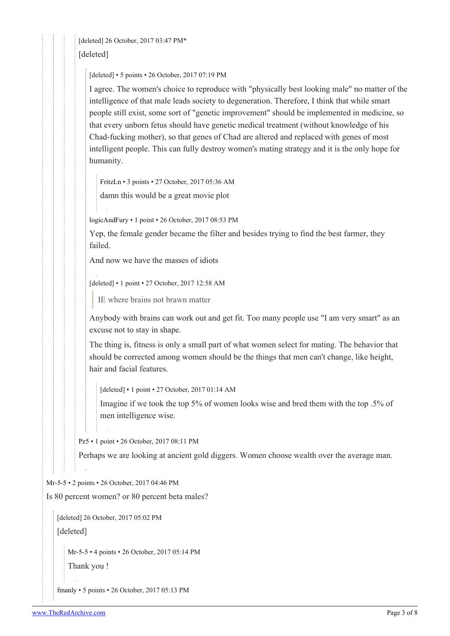[deleted] 26 October, 2017 03:47 PM\* [deleted]

[deleted] • 5 points • 26 October, 2017 07:19 PM

I agree. The women's choice to reproduce with "physically best looking male" no matter of the intelligence of that male leads society to degeneration. Therefore, I think that while smart people still exist, some sort of "genetic improvement" should be implemented in medicine, so that every unborn fetus should have genetic medical treatment (without knowledge of his Chad-fucking mother), so that genes of Chad are altered and replaced with genes of most intelligent people. This can fully destroy women's mating strategy and it is the only hope for humanity.

[FritzLn](https://old.reddit.com/user/FritzLn) • 3 points • 27 October, 2017 05:36 AM

damn this would be a great movie plot

[logicAndFury](https://old.reddit.com/user/logicAndFury) • 1 point • 26 October, 2017 08:53 PM

Yep, the female gender became the filter and besides trying to find the best farmer, they failed.

And now we have the masses of idiots

[deleted] • 1 point • 27 October, 2017 12:58 AM

IE where brains not brawn matter

Anybody with brains can work out and get fit. Too many people use "I am very smart" as an excuse not to stay in shape.

The thing is, fitness is only a small part of what women select for mating. The behavior that should be corrected among women should be the things that men can't change, like height, hair and facial features.

[deleted] • 1 point • 27 October, 2017 01:14 AM

Imagine if we took the top 5% of women looks wise and bred them with the top .5% of men intelligence wise.

[Pz5](https://old.reddit.com/user/Pz5) • 1 point • 26 October, 2017 08:11 PM

Perhaps we are looking at ancient gold diggers. Women choose wealth over the average man.

[Mr-5-5](https://old.reddit.com/user/Mr-5-5) • 2 points • 26 October, 2017 04:46 PM

Is 80 percent women? or 80 percent beta males?

[deleted] 26 October, 2017 05:02 PM

[deleted]

[Mr-5-5](https://old.reddit.com/user/Mr-5-5) • 4 points • 26 October, 2017 05:14 PM

Thank you !

[fmanly](https://old.reddit.com/user/fmanly) • 5 points • 26 October, 2017 05:13 PM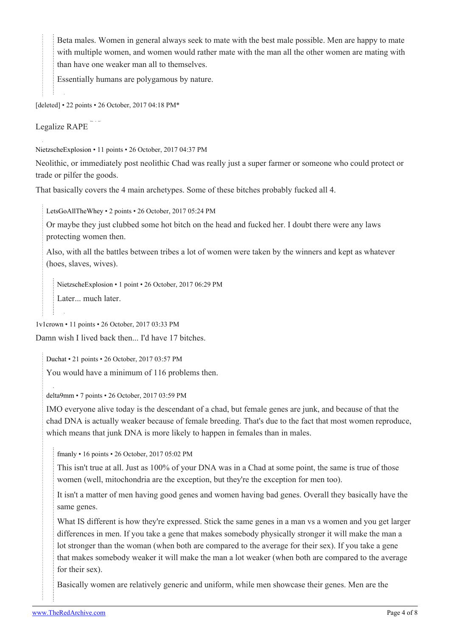Beta males. Women in general always seek to mate with the best male possible. Men are happy to mate with multiple women, and women would rather mate with the man all the other women are mating with than have one weaker man all to themselves.

Essentially humans are polygamous by nature.

[deleted] • 22 points • 26 October, 2017 04:18 PM\*

Legalize RAPE [What](https://pastebin.com/TwZSaKay/27179) [is](https://pastebin.com/TwZSaKay/27179) [this?](https://pastebin.com/TwZSaKay/27179)

[NietzscheExplosion](https://old.reddit.com/user/NietzscheExplosion) • 11 points • 26 October, 2017 04:37 PM

Neolithic, or immediately post neolithic Chad was really just a super farmer or someone who could protect or trade or pilfer the goods.

That basically covers the 4 main archetypes. Some of these bitches probably fucked all 4.

[LetsGoAllTheWhey](https://old.reddit.com/user/LetsGoAllTheWhey) • 2 points • 26 October, 2017 05:24 PM

Or maybe they just clubbed some hot bitch on the head and fucked her. I doubt there were any laws protecting women then.

Also, with all the battles between tribes a lot of women were taken by the winners and kept as whatever (hoes, slaves, wives).

[NietzscheExplosion](https://old.reddit.com/user/NietzscheExplosion) • 1 point • 26 October, 2017 06:29 PM

Later... much later.

[1v1crown](https://old.reddit.com/user/1v1crown) • 11 points • 26 October, 2017 03:33 PM

Damn wish I lived back then... I'd have 17 bitches.

[Duchat](https://old.reddit.com/user/Duchat) • 21 points • 26 October, 2017 03:57 PM

You would have a minimum of 116 problems then.

[delta9mm](https://old.reddit.com/user/delta9mm) • 7 points • 26 October, 2017 03:59 PM

IMO everyone alive today is the descendant of a chad, but female genes are junk, and because of that the chad DNA is actually weaker because of female breeding. That's due to the fact that most women reproduce, which means that junk DNA is more likely to happen in females than in males.

[fmanly](https://old.reddit.com/user/fmanly) • 16 points • 26 October, 2017 05:02 PM

This isn't true at all. Just as 100% of your DNA was in a Chad at some point, the same is true of those women (well, mitochondria are the exception, but they're the exception for men too).

It isn't a matter of men having good genes and women having bad genes. Overall they basically have the same genes.

What IS different is how they're expressed. Stick the same genes in a man vs a women and you get larger differences in men. If you take a gene that makes somebody physically stronger it will make the man a lot stronger than the woman (when both are compared to the average for their sex). If you take a gene that makes somebody weaker it will make the man a lot weaker (when both are compared to the average for their sex).

Basically women are relatively generic and uniform, while men showcase their genes. Men are the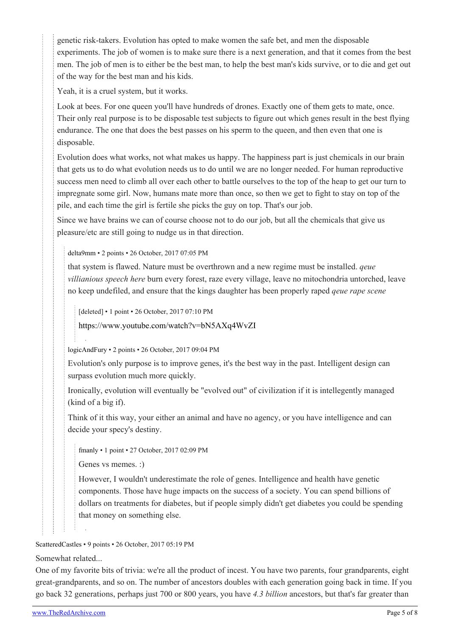genetic risk-takers. Evolution has opted to make women the safe bet, and men the disposable experiments. The job of women is to make sure there is a next generation, and that it comes from the best men. The job of men is to either be the best man, to help the best man's kids survive, or to die and get out of the way for the best man and his kids.

Yeah, it is a cruel system, but it works.

Look at bees. For one queen you'll have hundreds of drones. Exactly one of them gets to mate, once. Their only real purpose is to be disposable test subjects to figure out which genes result in the best flying endurance. The one that does the best passes on his sperm to the queen, and then even that one is disposable.

Evolution does what works, not what makes us happy. The happiness part is just chemicals in our brain that gets us to do what evolution needs us to do until we are no longer needed. For human reproductive success men need to climb all over each other to battle ourselves to the top of the heap to get our turn to impregnate some girl. Now, humans mate more than once, so then we get to fight to stay on top of the pile, and each time the girl is fertile she picks the guy on top. That's our job.

Since we have brains we can of course choose not to do our job, but all the chemicals that give us pleasure/etc are still going to nudge us in that direction.

[delta9mm](https://old.reddit.com/user/delta9mm) • 2 points • 26 October, 2017 07:05 PM

that system is flawed. Nature must be overthrown and a new regime must be installed. *qeue villianious speech here* burn every forest, raze every village, leave no mitochondria untorched, leave no keep undefiled, and ensure that the kings daughter has been properly raped *qeue rape scene*

[deleted] • 1 point • 26 October, 2017 07:10 PM

<https://www.youtube.com/watch?v=bN5AXq4WvZI>

[logicAndFury](https://old.reddit.com/user/logicAndFury) • 2 points • 26 October, 2017 09:04 PM

Evolution's only purpose is to improve genes, it's the best way in the past. Intelligent design can surpass evolution much more quickly.

Ironically, evolution will eventually be "evolved out" of civilization if it is intellegently managed (kind of a big if).

Think of it this way, your either an animal and have no agency, or you have intelligence and can decide your specy's destiny.

[fmanly](https://old.reddit.com/user/fmanly) • 1 point • 27 October, 2017 02:09 PM

Genes vs memes. :)

However, I wouldn't underestimate the role of genes. Intelligence and health have genetic components. Those have huge impacts on the success of a society. You can spend billions of dollars on treatments for diabetes, but if people simply didn't get diabetes you could be spending that money on something else.

[ScatteredCastles](https://old.reddit.com/user/ScatteredCastles) • 9 points • 26 October, 2017 05:19 PM

Somewhat related...

One of my favorite bits of trivia: we're all the product of incest. You have two parents, four grandparents, eight great-grandparents, and so on. The number of ancestors doubles with each generation going back in time. If you go back 32 generations, perhaps just 700 or 800 years, you have *4.3 billion* ancestors, but that's far greater than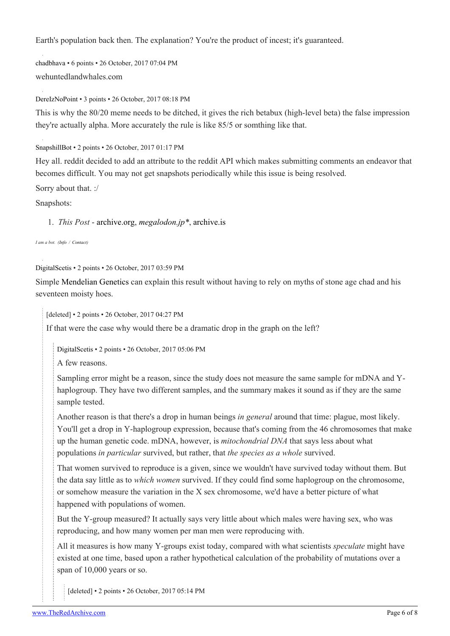Earth's population back then. The explanation? You're the product of incest; it's guaranteed.

[chadbhava](https://old.reddit.com/user/chadbhava) • 6 points • 26 October, 2017 07:04 PM wehuntedlandwhales.com

[DereIzNoPoint](https://old.reddit.com/user/DereIzNoPoint) • 3 points • 26 October, 2017 08:18 PM

This is why the 80/20 meme needs to be ditched, it gives the rich betabux (high-level beta) the false impression they're actually alpha. More accurately the rule is like 85/5 or somthing like that.

[SnapshillBot](https://old.reddit.com/user/SnapshillBot) • 2 points • 26 October, 2017 01:17 PM

Hey all. reddit decided to add an attribute to the reddit API which makes submitting comments an endeavor that becomes difficult. You may not get snapshots periodically while this issue is being resolved.

Sorry about that. :/

Snapshots:

1. *This Post* - [archive.org](https://web.archive.org/20171026131706/https://psmag.com/environment/17-to-1-reproductive-success), *[megalodon.jp\\*](http://megalodon.jp/pc/get_simple/decide?url=https://psmag.com/environment/17-to-1-reproductive-success)*, [archive.is](https://archive.is/5NUnm)

*I am a bot. [\(Info](https://theredarchive.com/r/SnapshillBot) / [Contact\)](https://theredarchive.com/message/compose?to=/r/SnapshillBot)*

[DigitalScetis](https://old.reddit.com/user/DigitalScetis) • 2 points • 26 October, 2017 03:59 PM

Simple [Mendelian Genetics](https://www.reddit.com/r/MGTOW/comments/4y0mby/mendelian_genetics_part_iii_conclusion/) can explain this result without having to rely on myths of stone age chad and his seventeen moisty hoes.

[deleted] • 2 points • 26 October, 2017 04:27 PM

If that were the case why would there be a dramatic drop in the graph on the left?

[DigitalScetis](https://old.reddit.com/user/DigitalScetis) • 2 points • 26 October, 2017 05:06 PM

A few reasons.

Sampling error might be a reason, since the study does not measure the same sample for mDNA and Yhaplogroup. They have two different samples, and the summary makes it sound as if they are the same sample tested.

Another reason is that there's a drop in human beings *in general* around that time: plague, most likely. You'll get a drop in Y-haplogroup expression, because that's coming from the 46 chromosomes that make up the human genetic code. mDNA, however, is *mitochondrial DNA* that says less about what populations *in particular* survived, but rather, that *the species as a whole* survived.

That women survived to reproduce is a given, since we wouldn't have survived today without them. But the data say little as to *which women* survived. If they could find some haplogroup on the chromosome, or somehow measure the variation in the X sex chromosome, we'd have a better picture of what happened with populations of women.

But the Y-group measured? It actually says very little about which males were having sex, who was reproducing, and how many women per man men were reproducing with.

All it measures is how many Y-groups exist today, compared with what scientists *speculate* might have existed at one time, based upon a rather hypothetical calculation of the probability of mutations over a span of 10,000 years or so.

[deleted] • 2 points • 26 October, 2017 05:14 PM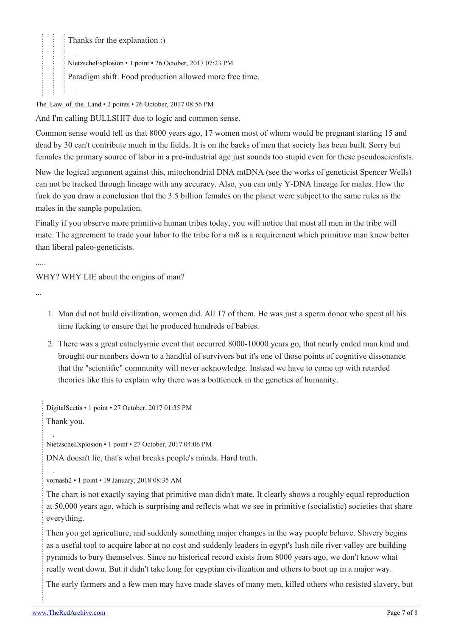Thanks for the explanation :)

[NietzscheExplosion](https://old.reddit.com/user/NietzscheExplosion) • 1 point • 26 October, 2017 07:23 PM

Paradigm shift. Food production allowed more free time.

The Law of the Land  $\cdot$  2 points  $\cdot$  26 October, 2017 08:56 PM

And I'm calling BULLSHIT due to logic and common sense.

Common sense would tell us that 8000 years ago, 17 women most of whom would be pregnant starting 15 and dead by 30 can't contribute much in the fields. It is on the backs of men that society has been built. Sorry but females the primary source of labor in a pre-industrial age just sounds too stupid even for these pseudoscientists.

Now the logical argument against this, mitochondrial DNA mtDNA (see the works of geneticist Spencer Wells) can not be tracked through lineage with any accuracy. Also, you can only Y-DNA lineage for males. How the fuck do you draw a conclusion that the 3.5 billion females on the planet were subject to the same rules as the males in the sample population.

Finally if you observe more primitive human tribes today, you will notice that most all men in the tribe will mate. The agreement to trade your labor to the tribe for a m8 is a requirement which primitive man knew better than liberal paleo-geneticists.

WHY? WHY LIE about the origins of man?

...

.....

- 1. Man did not build civilization, women did. All 17 of them. He was just a sperm donor who spent all his time fucking to ensure that he produced hundreds of babies.
- 2. There was a great cataclysmic event that occurred 8000-10000 years go, that nearly ended man kind and brought our numbers down to a handful of survivors but it's one of those points of cognitive dissonance that the "scientific" community will never acknowledge. Instead we have to come up with retarded theories like this to explain why there was a bottleneck in the genetics of humanity.

[DigitalScetis](https://old.reddit.com/user/DigitalScetis) • 1 point • 27 October, 2017 01:35 PM Thank you.

[NietzscheExplosion](https://old.reddit.com/user/NietzscheExplosion) • 1 point • 27 October, 2017 04:06 PM

DNA doesn't lie, that's what breaks people's minds. Hard truth.

[vornash2](https://old.reddit.com/user/vornash2) • 1 point • 19 January, 2018 08:35 AM

The chart is not exactly saying that primitive man didn't mate. It clearly shows a roughly equal reproduction at 50,000 years ago, which is surprising and reflects what we see in primitive (socialistic) societies that share everything.

Then you get agriculture, and suddenly something major changes in the way people behave. Slavery begins as a useful tool to acquire labor at no cost and suddenly leaders in egypt's lush nile river valley are building pyramids to bury themselves. Since no historical record exists from 8000 years ago, we don't know what really went down. But it didn't take long for egyptian civilization and others to boot up in a major way.

The early farmers and a few men may have made slaves of many men, killed others who resisted slavery, but